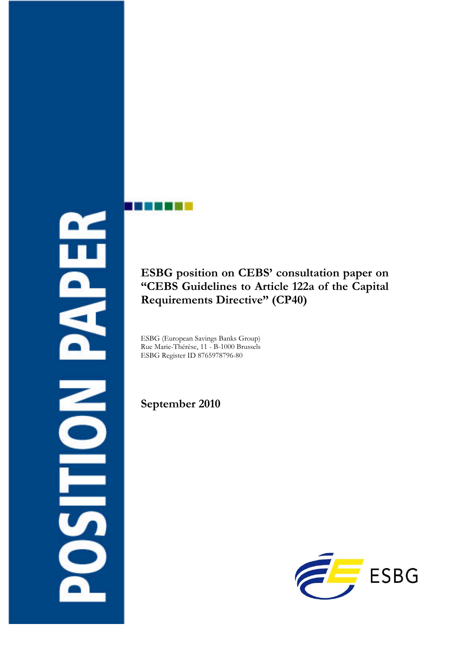Ë Ó **NILOS** 

**ESBG position on CEBS' consultation paper on "CEBS Guidelines to Article 122a of the Capital Requirements Directive" (CP40)**

ESBG (European Savings Banks Group) Rue Marie-Thérèse, 11 - B-1000 Brussels ESBG Register ID 8765978796-80

**September 2010**

a ma

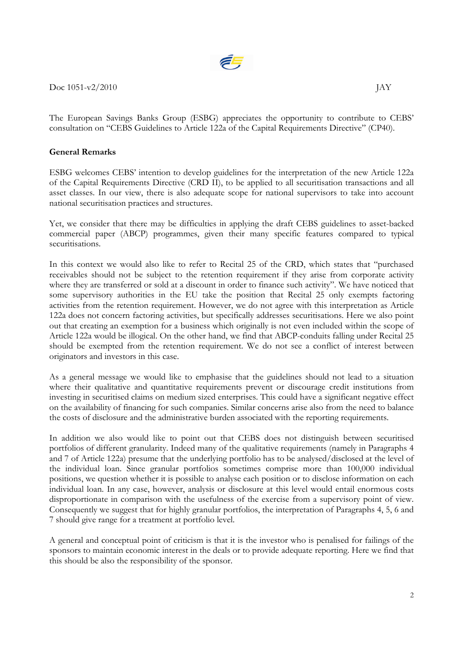

 $\rm{Doc}$  1051-v2/2010  $\rm{IAY}$ 

The European Savings Banks Group (ESBG) appreciates the opportunity to contribute to CEBS' consultation on "CEBS Guidelines to Article 122a of the Capital Requirements Directive" (CP40).

#### **General Remarks**

ESBG welcomes CEBS' intention to develop guidelines for the interpretation of the new Article 122a of the Capital Requirements Directive (CRD II), to be applied to all securitisation transactions and all asset classes. In our view, there is also adequate scope for national supervisors to take into account national securitisation practices and structures.

Yet, we consider that there may be difficulties in applying the draft CEBS guidelines to asset-backed commercial paper (ABCP) programmes, given their many specific features compared to typical securitisations.

In this context we would also like to refer to Recital 25 of the CRD, which states that "purchased receivables should not be subject to the retention requirement if they arise from corporate activity where they are transferred or sold at a discount in order to finance such activity". We have noticed that some supervisory authorities in the EU take the position that Recital 25 only exempts factoring activities from the retention requirement. However, we do not agree with this interpretation as Article 122a does not concern factoring activities, but specifically addresses securitisations. Here we also point out that creating an exemption for a business which originally is not even included within the scope of Article 122a would be illogical. On the other hand, we find that ABCP-conduits falling under Recital 25 should be exempted from the retention requirement. We do not see a conflict of interest between originators and investors in this case.

As a general message we would like to emphasise that the guidelines should not lead to a situation where their qualitative and quantitative requirements prevent or discourage credit institutions from investing in securitised claims on medium sized enterprises. This could have a significant negative effect on the availability of financing for such companies. Similar concerns arise also from the need to balance the costs of disclosure and the administrative burden associated with the reporting requirements.

In addition we also would like to point out that CEBS does not distinguish between securitised portfolios of different granularity. Indeed many of the qualitative requirements (namely in Paragraphs 4 and 7 of Article 122a) presume that the underlying portfolio has to be analysed/disclosed at the level of the individual loan. Since granular portfolios sometimes comprise more than 100,000 individual positions, we question whether it is possible to analyse each position or to disclose information on each individual loan. In any case, however, analysis or disclosure at this level would entail enormous costs disproportionate in comparison with the usefulness of the exercise from a supervisory point of view. Consequently we suggest that for highly granular portfolios, the interpretation of Paragraphs 4, 5, 6 and 7 should give range for a treatment at portfolio level.

A general and conceptual point of criticism is that it is the investor who is penalised for failings of the sponsors to maintain economic interest in the deals or to provide adequate reporting. Here we find that this should be also the responsibility of the sponsor.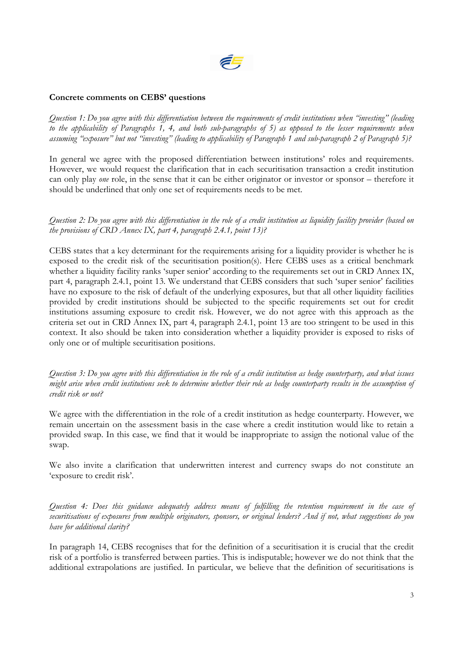

#### **Concrete comments on CEBS' questions**

*Question 1: Do you agree with this differentiation between the requirements of credit institutions when "investing" (leading to the applicability of Paragraphs 1, 4, and both sub-paragraphs of 5) as opposed to the lesser requirements when assuming "exposure" but not "investing" (leading to applicability of Paragraph 1 and sub-paragraph 2 of Paragraph 5)?*

In general we agree with the proposed differentiation between institutions' roles and requirements. However, we would request the clarification that in each securitisation transaction a credit institution can only play *one* role, in the sense that it can be either originator or investor or sponsor – therefore it should be underlined that only one set of requirements needs to be met.

*Question 2: Do you agree with this differentiation in the role of a credit institution as liquidity facility provider (based on the provisions of CRD Annex IX, part 4, paragraph 2.4.1, point 13)?*

CEBS states that a key determinant for the requirements arising for a liquidity provider is whether he is exposed to the credit risk of the securitisation position(s). Here CEBS uses as a critical benchmark whether a liquidity facility ranks 'super senior' according to the requirements set out in CRD Annex IX, part 4, paragraph 2.4.1, point 13. We understand that CEBS considers that such 'super senior' facilities have no exposure to the risk of default of the underlying exposures, but that all other liquidity facilities provided by credit institutions should be subjected to the specific requirements set out for credit institutions assuming exposure to credit risk. However, we do not agree with this approach as the criteria set out in CRD Annex IX, part 4, paragraph 2.4.1, point 13 are too stringent to be used in this context. It also should be taken into consideration whether a liquidity provider is exposed to risks of only one or of multiple securitisation positions.

*Question 3: Do you agree with this differentiation in the role of a credit institution as hedge counterparty, and what issues might arise when credit institutions seek to determine whether their role as hedge counterparty results in the assumption of credit risk or not?*

We agree with the differentiation in the role of a credit institution as hedge counterparty. However, we remain uncertain on the assessment basis in the case where a credit institution would like to retain a provided swap. In this case, we find that it would be inappropriate to assign the notional value of the swap.

We also invite a clarification that underwritten interest and currency swaps do not constitute an 'exposure to credit risk'.

*Question 4: Does this guidance adequately address means of fulfilling the retention requirement in the case of securitisations of exposures from multiple originators, sponsors, or original lenders? And if not, what suggestions do you have for additional clarity?*

In paragraph 14, CEBS recognises that for the definition of a securitisation it is crucial that the credit risk of a portfolio is transferred between parties. This is indisputable; however we do not think that the additional extrapolations are justified. In particular, we believe that the definition of securitisations is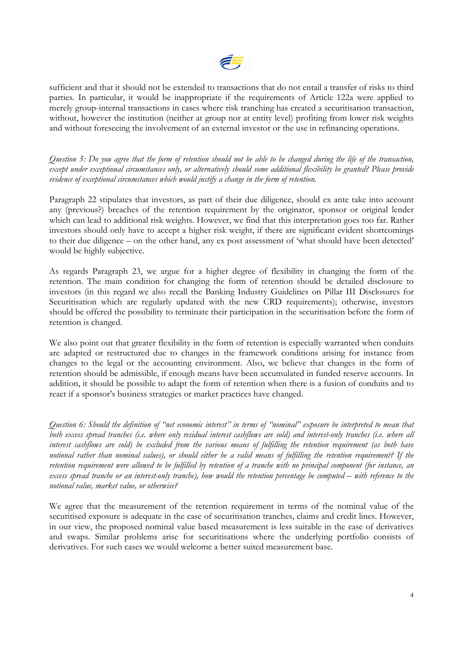

sufficient and that it should not be extended to transactions that do not entail a transfer of risks to third parties. In particular, it would be inappropriate if the requirements of Article 122a were applied to merely group-internal transactions in cases where risk tranching has created a securitisation transaction, without, however the institution (neither at group nor at entity level) profiting from lower risk weights and without foreseeing the involvement of an external investor or the use in refinancing operations.

*Question 5: Do you agree that the form of retention should not be able to be changed during the life of the transaction, except under exceptional circumstances only, or alternatively should some additional flexibility be granted? Please provide evidence of exceptional circumstances which would justify a change in the form of retention.*

Paragraph 22 stipulates that investors, as part of their due diligence, should ex ante take into account any (previous?) breaches of the retention requirement by the originator, sponsor or original lender which can lead to additional risk weights. However, we find that this interpretation goes too far. Rather investors should only have to accept a higher risk weight, if there are significant evident shortcomings to their due diligence – on the other hand, any ex post assessment of 'what should have been detected' would be highly subjective.

As regards Paragraph 23, we argue for a higher degree of flexibility in changing the form of the retention. The main condition for changing the form of retention should be detailed disclosure to investors (in this regard we also recall the Banking Industry Guidelines on Pillar III Disclosures for Securitisation which are regularly updated with the new CRD requirements); otherwise, investors should be offered the possibility to terminate their participation in the securitisation before the form of retention is changed.

We also point out that greater flexibility in the form of retention is especially warranted when conduits are adapted or restructured due to changes in the framework conditions arising for instance from changes to the legal or the accounting environment. Also, we believe that changes in the form of retention should be admissible, if enough means have been accumulated in funded reserve accounts. In addition, it should be possible to adapt the form of retention when there is a fusion of conduits and to react if a sponsor's business strategies or market practices have changed.

*Question 6: Should the definition of "net economic interest" in terms of "nominal" exposure be interpreted to mean that both excess spread tranches (i.e. where only residual interest cashflows are sold) and interest-only tranches (i.e. where all interest cashflows are sold) be excluded from the various means of fulfilling the retention requirement (as both have notional rather than nominal values), or should either be a valid means of fulfilling the retention requirement? If the retention requirement were allowed to be fulfilled by retention of a tranche with no principal component (for instance, an excess spread tranche or an interest-only tranche), how would the retention percentage be computed – with reference to the notional value, market value, or otherwise?*

We agree that the measurement of the retention requirement in terms of the nominal value of the securitised exposure is adequate in the case of securitisation tranches, claims and credit lines. However, in our view, the proposed nominal value based measurement is less suitable in the case of derivatives and swaps. Similar problems arise for securitisations where the underlying portfolio consists of derivatives. For such cases we would welcome a better suited measurement base.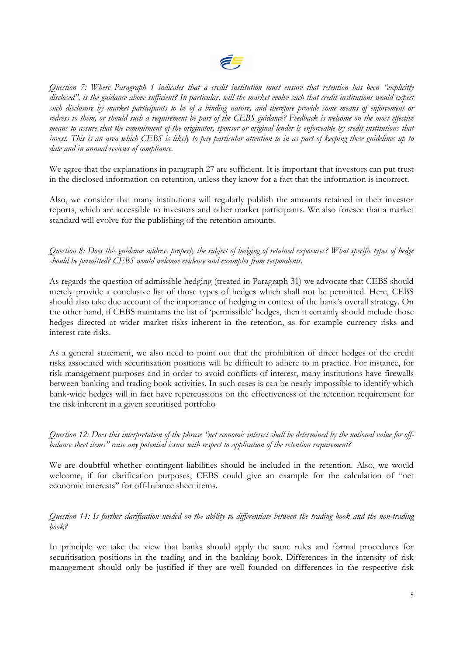

*Question 7: Where Paragraph 1 indicates that a credit institution must ensure that retention has been "explicitly disclosed", is the guidance above sufficient? In particular, will the market evolve such that credit institutions would expect such disclosure by market participants to be of a binding nature, and therefore provide some means of enforcement or redress to them, or should such a requirement be part of the CEBS guidance? Feedback is welcome on the most effective means to assure that the commitment of the originator, sponsor or original lender is enforceable by credit institutions that invest. This is an area which CEBS is likely to pay particular attention to in as part of keeping these guidelines up to date and in annual reviews of compliance.*

We agree that the explanations in paragraph 27 are sufficient. It is important that investors can put trust in the disclosed information on retention, unless they know for a fact that the information is incorrect.

Also, we consider that many institutions will regularly publish the amounts retained in their investor reports, which are accessible to investors and other market participants. We also foresee that a market standard will evolve for the publishing of the retention amounts.

#### *Question 8: Does this guidance address properly the subject of hedging of retained exposures? What specific types of hedge should be permitted? CEBS would welcome evidence and examples from respondents.*

As regards the question of admissible hedging (treated in Paragraph 31) we advocate that CEBS should merely provide a conclusive list of those types of hedges which shall not be permitted. Here, CEBS should also take due account of the importance of hedging in context of the bank's overall strategy. On the other hand, if CEBS maintains the list of 'permissible' hedges, then it certainly should include those hedges directed at wider market risks inherent in the retention, as for example currency risks and interest rate risks.

As a general statement, we also need to point out that the prohibition of direct hedges of the credit risks associated with securitisation positions will be difficult to adhere to in practice. For instance, for risk management purposes and in order to avoid conflicts of interest, many institutions have firewalls between banking and trading book activities. In such cases is can be nearly impossible to identify which bank-wide hedges will in fact have repercussions on the effectiveness of the retention requirement for the risk inherent in a given securitised portfolio

*Question 12: Does this interpretation of the phrase "net economic interest shall be determined by the notional value for offbalance sheet items" raise any potential issues with respect to application of the retention requirement?*

We are doubtful whether contingent liabilities should be included in the retention. Also, we would welcome, if for clarification purposes, CEBS could give an example for the calculation of "net economic interests" for off-balance sheet items.

*Question 14: Is further clarification needed on the ability to differentiate between the trading book and the non-trading book?*

In principle we take the view that banks should apply the same rules and formal procedures for securitisation positions in the trading and in the banking book. Differences in the intensity of risk management should only be justified if they are well founded on differences in the respective risk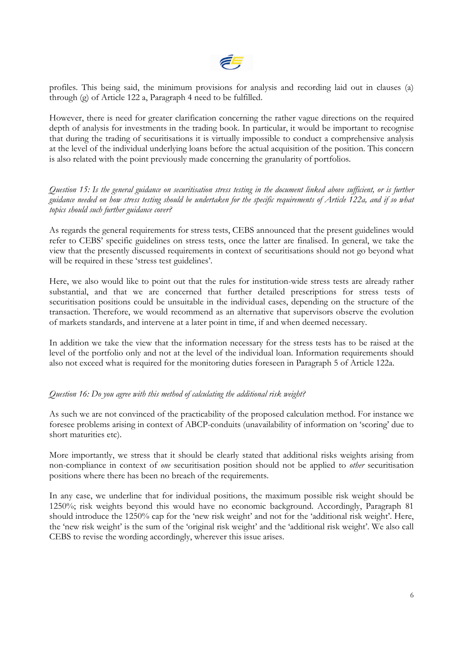

profiles. This being said, the minimum provisions for analysis and recording laid out in clauses (a) through (g) of Article 122 a, Paragraph 4 need to be fulfilled.

However, there is need for greater clarification concerning the rather vague directions on the required depth of analysis for investments in the trading book. In particular, it would be important to recognise that during the trading of securitisations it is virtually impossible to conduct a comprehensive analysis at the level of the individual underlying loans before the actual acquisition of the position. This concern is also related with the point previously made concerning the granularity of portfolios.

*Question 15: Is the general guidance on securitisation stress testing in the document linked above sufficient, or is further guidance needed on how stress testing should be undertaken for the specific requirements of Article 122a, and if so what topics should such further guidance cover?*

As regards the general requirements for stress tests, CEBS announced that the present guidelines would refer to CEBS' specific guidelines on stress tests, once the latter are finalised. In general, we take the view that the presently discussed requirements in context of securitisations should not go beyond what will be required in these 'stress test guidelines'.

Here, we also would like to point out that the rules for institution-wide stress tests are already rather substantial, and that we are concerned that further detailed prescriptions for stress tests of securitisation positions could be unsuitable in the individual cases, depending on the structure of the transaction. Therefore, we would recommend as an alternative that supervisors observe the evolution of markets standards, and intervene at a later point in time, if and when deemed necessary.

In addition we take the view that the information necessary for the stress tests has to be raised at the level of the portfolio only and not at the level of the individual loan. Information requirements should also not exceed what is required for the monitoring duties foreseen in Paragraph 5 of Article 122a.

## *Question 16: Do you agree with this method of calculating the additional risk weight?*

As such we are not convinced of the practicability of the proposed calculation method. For instance we foresee problems arising in context of ABCP-conduits (unavailability of information on 'scoring' due to short maturities etc).

More importantly, we stress that it should be clearly stated that additional risks weights arising from non-compliance in context of *one* securitisation position should not be applied to *other* securitisation positions where there has been no breach of the requirements.

In any case, we underline that for individual positions, the maximum possible risk weight should be 1250%; risk weights beyond this would have no economic background. Accordingly, Paragraph 81 should introduce the 1250% cap for the 'new risk weight' and not for the 'additional risk weight'. Here, the 'new risk weight' is the sum of the 'original risk weight' and the 'additional risk weight'. We also call CEBS to revise the wording accordingly, wherever this issue arises.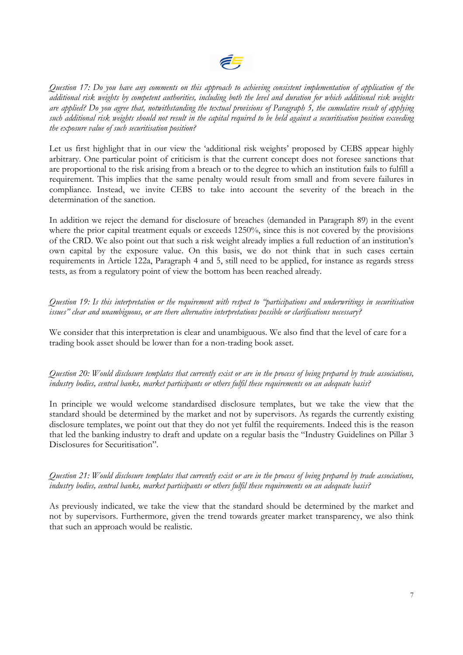

*Question 17: Do you have any comments on this approach to achieving consistent implementation of application of the additional risk weights by competent authorities, including both the level and duration for which additional risk weights are applied? Do you agree that, notwithstanding the textual provisions of Paragraph 5, the cumulative result of applying such additional risk weights should not result in the capital required to be held against a securitisation position exceeding the exposure value of such securitisation position?*

Let us first highlight that in our view the 'additional risk weights' proposed by CEBS appear highly arbitrary. One particular point of criticism is that the current concept does not foresee sanctions that are proportional to the risk arising from a breach or to the degree to which an institution fails to fulfill a requirement. This implies that the same penalty would result from small and from severe failures in compliance. Instead, we invite CEBS to take into account the severity of the breach in the determination of the sanction.

In addition we reject the demand for disclosure of breaches (demanded in Paragraph 89) in the event where the prior capital treatment equals or exceeds 1250%, since this is not covered by the provisions of the CRD. We also point out that such a risk weight already implies a full reduction of an institution's own capital by the exposure value. On this basis, we do not think that in such cases certain requirements in Article 122a, Paragraph 4 and 5, still need to be applied, for instance as regards stress tests, as from a regulatory point of view the bottom has been reached already.

*Question 19: Is this interpretation or the requirement with respect to "participations and underwritings in securitisation issues" clear and unambiguous, or are there alternative interpretations possible or clarifications necessary?*

We consider that this interpretation is clear and unambiguous. We also find that the level of care for a trading book asset should be lower than for a non-trading book asset.

*Question 20: Would disclosure templates that currently exist or are in the process of being prepared by trade associations, industry bodies, central banks, market participants or others fulfil these requirements on an adequate basis?*

In principle we would welcome standardised disclosure templates, but we take the view that the standard should be determined by the market and not by supervisors. As regards the currently existing disclosure templates, we point out that they do not yet fulfil the requirements. Indeed this is the reason that led the banking industry to draft and update on a regular basis the "Industry Guidelines on Pillar 3 Disclosures for Securitisation".

*Question 21: Would disclosure templates that currently exist or are in the process of being prepared by trade associations, industry bodies, central banks, market participants or others fulfil these requirements on an adequate basis?*

As previously indicated, we take the view that the standard should be determined by the market and not by supervisors. Furthermore, given the trend towards greater market transparency, we also think that such an approach would be realistic.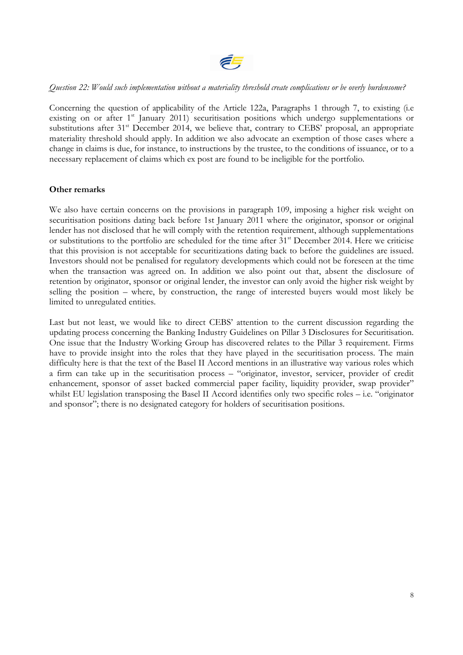

#### *Question 22: Would such implementation without a materiality threshold create complications or be overly burdensome?*

Concerning the question of applicability of the Article 122a, Paragraphs 1 through 7, to existing (i.e existing on or after 1<sup>st</sup> January 2011) securitisation positions which undergo supplementations or substitutions after 31<sup>st</sup> December 2014, we believe that, contrary to CEBS' proposal, an appropriate materiality threshold should apply. In addition we also advocate an exemption of those cases where a change in claims is due, for instance, to instructions by the trustee, to the conditions of issuance, or to a necessary replacement of claims which ex post are found to be ineligible for the portfolio.

### **Other remarks**

We also have certain concerns on the provisions in paragraph 109, imposing a higher risk weight on securitisation positions dating back before 1st January 2011 where the originator, sponsor or original lender has not disclosed that he will comply with the retention requirement, although supplementations or substitutions to the portfolio are scheduled for the time after 31<sup>st</sup> December 2014. Here we criticise that this provision is not acceptable for securitizations dating back to before the guidelines are issued. Investors should not be penalised for regulatory developments which could not be foreseen at the time when the transaction was agreed on. In addition we also point out that, absent the disclosure of retention by originator, sponsor or original lender, the investor can only avoid the higher risk weight by selling the position – where, by construction, the range of interested buyers would most likely be limited to unregulated entities.

Last but not least, we would like to direct CEBS' attention to the current discussion regarding the updating process concerning the Banking Industry Guidelines on Pillar 3 Disclosures for Securitisation. One issue that the Industry Working Group has discovered relates to the Pillar 3 requirement. Firms have to provide insight into the roles that they have played in the securitisation process. The main difficulty here is that the text of the Basel II Accord mentions in an illustrative way various roles which a firm can take up in the securitisation process – "originator, investor, servicer, provider of credit enhancement, sponsor of asset backed commercial paper facility, liquidity provider, swap provider" whilst EU legislation transposing the Basel II Accord identifies only two specific roles – i.e. "originator" and sponsor"; there is no designated category for holders of securitisation positions.